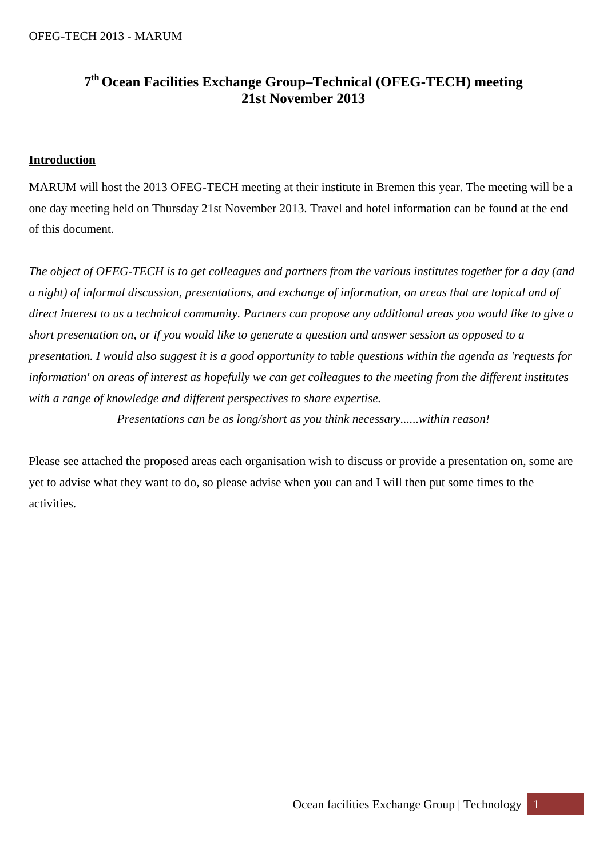# **7th Ocean Facilities Exchange Group–Technical (OFEG-TECH) meeting 21st November 2013**

# **Introduction**

MARUM will host the 2013 OFEG-TECH meeting at their institute in Bremen this year. The meeting will be a one day meeting held on Thursday 21st November 2013. Travel and hotel information can be found at the end of this document.

*The object of OFEG-TECH is to get colleagues and partners from the various institutes together for a day (and a night) of informal discussion, presentations, and exchange of information, on areas that are topical and of direct interest to us a technical community. Partners can propose any additional areas you would like to give a short presentation on, or if you would like to generate a question and answer session as opposed to a presentation. I would also suggest it is a good opportunity to table questions within the agenda as 'requests for information' on areas of interest as hopefully we can get colleagues to the meeting from the different institutes with a range of knowledge and different perspectives to share expertise.* 

*Presentations can be as long/short as you think necessary......within reason!* 

Please see attached the proposed areas each organisation wish to discuss or provide a presentation on, some are yet to advise what they want to do, so please advise when you can and I will then put some times to the activities.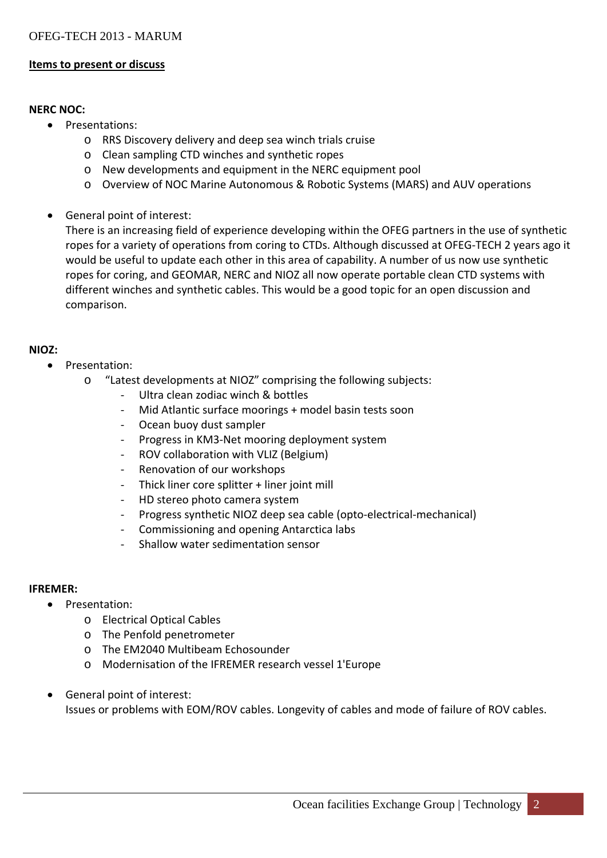## **Items to present or discuss**

## **NERC NOC:**

- Presentations:
	- o RRS Discovery delivery and deep sea winch trials cruise
	- o Clean sampling CTD winches and synthetic ropes
	- o New developments and equipment in the NERC equipment pool
	- o Overview of NOC Marine Autonomous & Robotic Systems (MARS) and AUV operations
- General point of interest:

There is an increasing field of experience developing within the OFEG partners in the use of synthetic ropes for a variety of operations from coring to CTDs. Although discussed at OFEG‐TECH 2 years ago it would be useful to update each other in this area of capability. A number of us now use synthetic ropes for coring, and GEOMAR, NERC and NIOZ all now operate portable clean CTD systems with different winches and synthetic cables. This would be a good topic for an open discussion and comparison.

## **NIOZ:**

- Presentation:
	- o "Latest developments at NIOZ" comprising the following subjects:
		- Ultra clean zodiac winch & bottles
		- ‐ Mid Atlantic surface moorings + model basin tests soon
		- Ocean buoy dust sampler
		- ‐ Progress in KM3‐Net mooring deployment system
		- ‐ ROV collaboration with VLIZ (Belgium)
		- ‐ Renovation of our workshops
		- Thick liner core splitter + liner joint mill
		- ‐ HD stereo photo camera system
		- ‐ Progress synthetic NIOZ deep sea cable (opto‐electrical‐mechanical)
		- ‐ Commissioning and opening Antarctica labs
		- ‐ Shallow water sedimentation sensor

## **IFREMER:**

- Presentation:
	- o Electrical Optical Cables
	- o The Penfold penetrometer
	- o The EM2040 Multibeam Echosounder
	- o Modernisation of the IFREMER research vessel 1'Europe
- General point of interest: Issues or problems with EOM/ROV cables. Longevity of cables and mode of failure of ROV cables.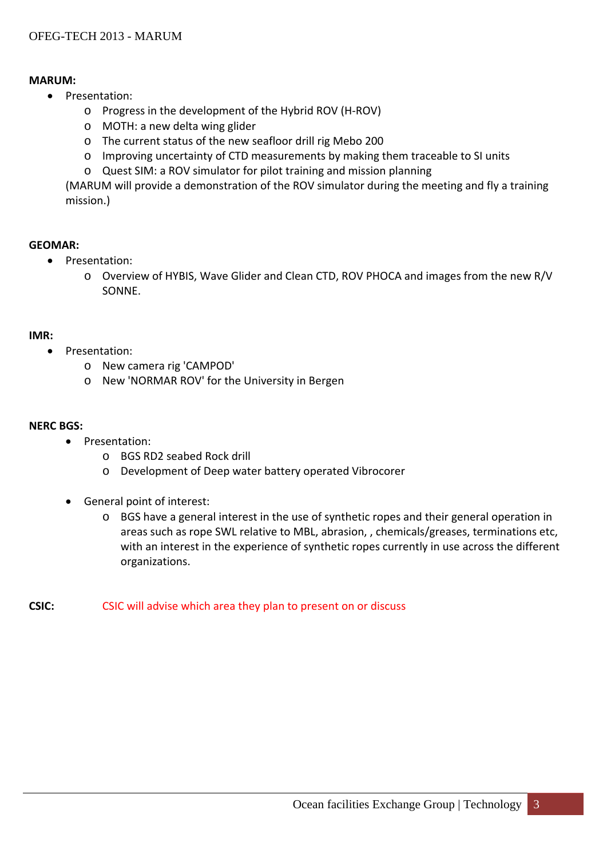## **MARUM:**

- Presentation:
	- o Progress in the development of the Hybrid ROV (H‐ROV)
	- o MOTH: a new delta wing glider
	- o The current status of the new seafloor drill rig Mebo 200
	- o Improving uncertainty of CTD measurements by making them traceable to SI units
	- o Quest SIM: a ROV simulator for pilot training and mission planning

(MARUM will provide a demonstration of the ROV simulator during the meeting and fly a training mission.)

## **GEOMAR:**

- Presentation:
	- o Overview of HYBIS, Wave Glider and Clean CTD, ROV PHOCA and images from the new R/V SONNE.

### **IMR:**

- Presentation:
	- o New camera rig 'CAMPOD'
	- o New 'NORMAR ROV' for the University in Bergen

#### **NERC BGS:**

- Presentation:
	- o BGS RD2 seabed Rock drill
	- o Development of Deep water battery operated Vibrocorer
- General point of interest:
	- o BGS have a general interest in the use of synthetic ropes and their general operation in areas such as rope SWL relative to MBL, abrasion, , chemicals/greases, terminations etc, with an interest in the experience of synthetic ropes currently in use across the different organizations.
- **CSIC:** CSIC will advise which area they plan to present on or discuss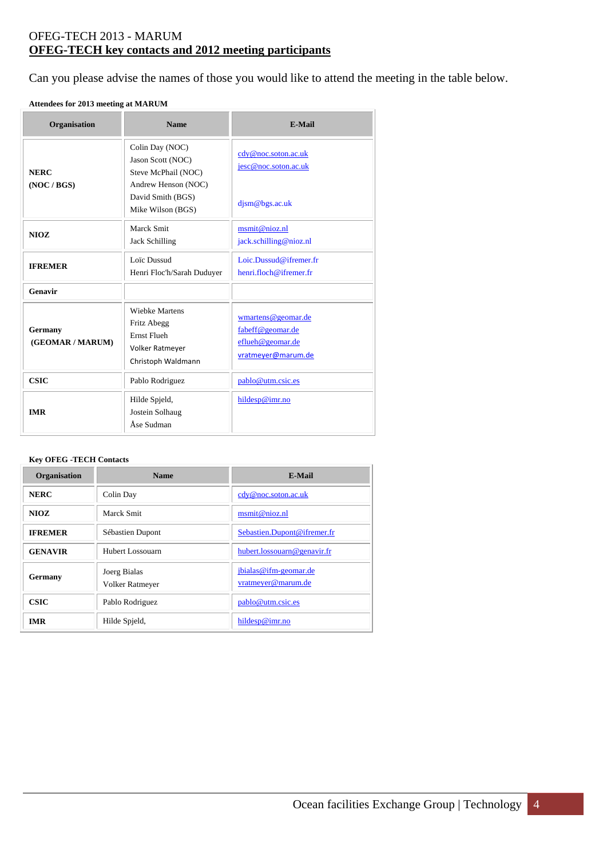## OFEG-TECH 2013 - MARUM **OFEG-TECH key contacts and 2012 meeting participants**

Can you please advise the names of those you would like to attend the meeting in the table below.

#### **Attendees for 2013 meeting at MARUM**

| Organisation                | <b>Name</b>                                                                                                                  | <b>E-Mail</b>                                                                    |
|-----------------------------|------------------------------------------------------------------------------------------------------------------------------|----------------------------------------------------------------------------------|
| <b>NERC</b><br>(NOC / BGS)  | Colin Day (NOC)<br>Jason Scott (NOC)<br>Steve McPhail (NOC)<br>Andrew Henson (NOC)<br>David Smith (BGS)<br>Mike Wilson (BGS) | cdy@noc.soton.ac.uk<br>jesc@noc.soton.ac.uk<br>djsm@bgs.ac.uk                    |
| NIOZ                        | Marck Smit<br><b>Jack Schilling</b>                                                                                          | msmit@nioz.nl<br>jack.schilling@nioz.nl                                          |
| <b>IFREMER</b>              | Loïc Dussud<br>Henri Floc'h/Sarah Duduyer                                                                                    | Loic Dussud@ifremer fr<br>henri.floch@ifremer.fr                                 |
| Genavir                     |                                                                                                                              |                                                                                  |
| Germany<br>(GEOMAR / MARUM) | <b>Wiebke Martens</b><br>Fritz Abegg<br><b>Ernst Fluch</b><br>Volker Ratmeyer<br>Christoph Waldmann                          | wmartens@geomar.de<br>fabeff@geomar.de<br>eflueh@geomar.de<br>vratmeyer@marum.de |
| <b>CSIC</b>                 | Pablo Rodriguez                                                                                                              | pablo@utm.csic.es                                                                |
| <b>IMR</b>                  | Hilde Spjeld,<br>Jostein Solhaug<br>Åse Sudman                                                                               | hildesp@imr.no                                                                   |

#### **Key OFEG -TECH Contacts**

| Organisation   | <b>Name</b>                     | <b>E-Mail</b>                               |
|----------------|---------------------------------|---------------------------------------------|
| <b>NERC</b>    | Colin Day                       | cdy@noc.soton.ac.uk                         |
| NIOZ.          | Marck Smit                      | msmit@nioz.nl                               |
| <b>IFREMER</b> | Sébastien Dupont                | Sebastien.Dupont@ifremer.fr                 |
| <b>GENAVIR</b> | Hubert Lossouarn                | hubert.lossouarn@genavir.fr                 |
| Germany        | Joerg Bialas<br>Volker Ratmeyer | jbialas@ifm-geomar.de<br>vratmeyer@marum.de |
| <b>CSIC</b>    | Pablo Rodriguez                 | pablo@utm.csic.es                           |
| <b>IMR</b>     | Hilde Spjeld,                   | hildesp@imr.no                              |